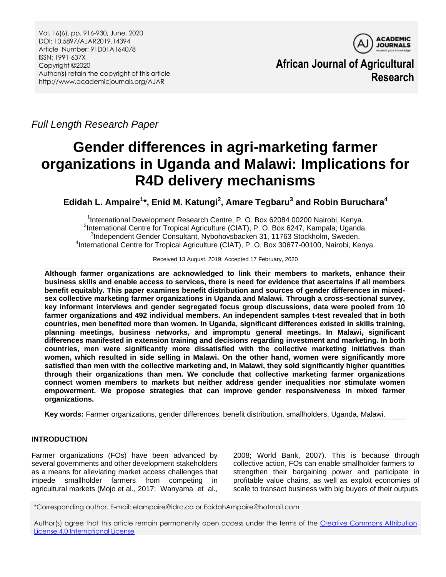

**African Journal of Agricultural Research**

*Full Length Research Paper*

# **Gender differences in agri-marketing farmer organizations in Uganda and Malawi: Implications for R4D delivery mechanisms**

**Edidah L. Ampaire<sup>1</sup> \*, Enid M. Katungi<sup>2</sup> , Amare Tegbaru<sup>3</sup> and Robin Buruchara<sup>4</sup>**

<sup>1</sup>International Development Research Centre, P. O. Box 62084 00200 Nairobi, Kenya. <sup>2</sup>International Centre for Tropical Agriculture (CIAT), P. O. Box 6247, Kampala; Uganda. 3 Independent Gender Consultant, Nybohovsbacken 31, 11763 Stockholm, Sweden. 4 International Centre for Tropical Agriculture (CIAT), P. O. Box 30677-00100, Nairobi, Kenya.

Received 13 August, 2019; Accepted 17 February, 2020

**Although farmer organizations are acknowledged to link their members to markets, enhance their business skills and enable access to services, there is need for evidence that ascertains if all members benefit equitably. This paper examines benefit distribution and sources of gender differences in mixedsex collective marketing farmer organizations in Uganda and Malawi. Through a cross-sectional survey, key informant interviews and gender segregated focus group discussions, data were pooled from 10 farmer organizations and 492 individual members. An independent samples t-test revealed that in both countries, men benefited more than women. In Uganda, significant differences existed in skills training, planning meetings, business networks, and impromptu general meetings. In Malawi, significant differences manifested in extension training and decisions regarding investment and marketing. In both countries, men were significantly more dissatisfied with the collective marketing initiatives than women, which resulted in side selling in Malawi. On the other hand, women were significantly more satisfied than men with the collective marketing and, in Malawi, they sold significantly higher quantities through their organizations than men. We conclude that collective marketing farmer organizations connect women members to markets but neither address gender inequalities nor stimulate women empowerment. We propose strategies that can improve gender responsiveness in mixed farmer organizations.**

**Key words:** Farmer organizations, gender differences, benefit distribution, smallholders, Uganda, Malawi.

# **INTRODUCTION**

Farmer organizations (FOs) have been advanced by several governments and other development stakeholders as a means for alleviating market access challenges that impede smallholder farmers from competing in agricultural markets (Mojo et al., 2017; Wanyama et al.,

2008; World Bank, 2007). This is because through collective action, FOs can enable smallholder farmers to strengthen their bargaining power and participate in profitable value chains, as well as exploit economies of scale to transact business with big buyers of their outputs

\*Corresponding author. E-mail: elampaire@idrc.ca or EdidahAmpaire@hotmail.com

Author(s) agree that this article remain permanently open access under the terms of the [Creative Commons Attribution](http://creativecommons.org/licenses/by/4.0/deed.en_US)  [License 4.0 International License](http://creativecommons.org/licenses/by/4.0/deed.en_US)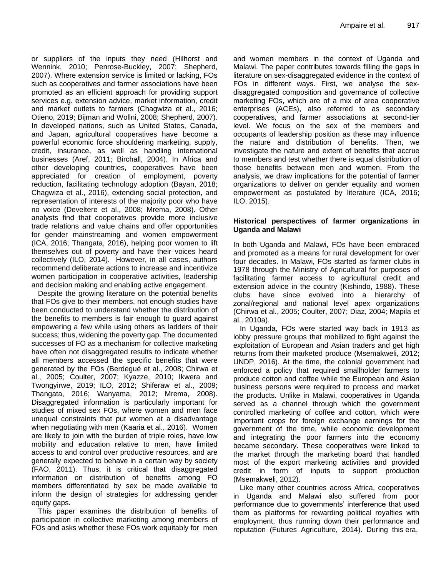or suppliers of the inputs they need (Hilhorst and Wennink, 2010; Penrose-Buckley, 2007; Shepherd, 2007). Where extension service is limited or lacking, FOs such as cooperatives and farmer associations have been promoted as an efficient approach for providing support services e.g. extension advice, market information, credit and market outlets to farmers (Chagwiza et al., 2016; Otieno, 2019; Bijman and Wollni, 2008; Shepherd, 2007). In developed nations, such as United States, Canada, and Japan, agricultural cooperatives have become a powerful economic force shouldering marketing, supply, credit, insurance, as well as handling international businesses (Aref, 2011; Birchall, 2004). In Africa and other developing countries, cooperatives have been appreciated for creation of employment, poverty reduction, facilitating technology adoption (Bayan, 2018; Chagwiza et al., 2016), extending social protection, and representation of interests of the majority poor who have no voice (Develtere et al., 2008; Mrema, 2008). Other analysts find that cooperatives provide more inclusive trade relations and value chains and offer opportunities for gender mainstreaming and women empowerment (ICA, 2016; Thangata, 2016), helping poor women to lift themselves out of poverty and have their voices heard collectively (ILO, 2014). However, in all cases, authors recommend deliberate actions to increase and incentivize women participation in cooperative activities, leadership and decision making and enabling active engagement.

Despite the growing literature on the potential benefits that FOs give to their members, not enough studies have been conducted to understand whether the distribution of the benefits to members is fair enough to guard against empowering a few while using others as ladders of their success; thus, widening the poverty gap. The documented successes of FO as a mechanism for collective marketing have often not disaggregated results to indicate whether all members accessed the specific benefits that were generated by the FOs (Berdegué et al., 2008; Chirwa et al., 2005; Coulter, 2007; Kyazze, 2010; Ikwera and Twongyirwe, 2019; ILO, 2012; Shiferaw et al., 2009; Thangata, 2016; Wanyama, 2012; Mrema, 2008). Disaggregated information is particularly important for studies of mixed sex FOs, where women and men face unequal constraints that put women at a disadvantage when negotiating with men (Kaaria et al., 2016). Women are likely to join with the burden of triple roles, have low mobility and education relative to men, have limited access to and control over productive resources, and are generally expected to behave in a certain way by society (FAO, 2011). Thus, it is critical that disaggregated information on distribution of benefits among FO members differentiated by sex be made available to inform the design of strategies for addressing gender equity gaps.

This paper examines the distribution of benefits of participation in collective marketing among members of FOs and asks whether these FOs work equitably for men

and women members in the context of Uganda and Malawi. The paper contributes towards filling the gaps in literature on sex-disaggregated evidence in the context of FOs in different ways. First, we analyse the sexdisaggregated composition and governance of collective marketing FOs, which are of a mix of area cooperative enterprises (ACEs), also referred to as secondary cooperatives, and farmer associations at second-tier level. We focus on the sex of the members and occupants of leadership position as these may influence the nature and distribution of benefits. Then, we investigate the nature and extent of benefits that accrue to members and test whether there is equal distribution of those benefits between men and women. From the analysis, we draw implications for the potential of farmer organizations to deliver on gender equality and women empowerment as postulated by literature (ICA, 2016; ILO, 2015).

## **Historical perspectives of farmer organizations in Uganda and Malawi**

In both Uganda and Malawi, FOs have been embraced and promoted as a means for rural development for over four decades. In Malawi, FOs started as farmer clubs in 1978 through the Ministry of Agricultural for purposes of facilitating farmer access to agricultural credit and extension advice in the country (Kishindo, 1988). These clubs have since evolved into a hierarchy of zonal/regional and national level apex organizations (Chirwa et al., 2005; Coulter, 2007; Diaz, 2004; Mapila et al., 2010a).

In Uganda, FOs were started way back in 1913 as lobby pressure groups that mobilized to fight against the exploitation of European and Asian traders and get high returns from their marketed produce (Msemakweli, 2012; UNDP, 2016). At the time, the colonial government had enforced a policy that required smallholder farmers to produce cotton and coffee while the European and Asian business persons were required to process and market the products. Unlike in Malawi, cooperatives in Uganda served as a channel through which the government controlled marketing of coffee and cotton, which were important crops for foreign exchange earnings for the government of the time, while economic development and integrating the poor farmers into the economy became secondary. These cooperatives were linked to the market through the marketing board that handled most of the export marketing activities and provided credit in form of inputs to support production (Msemakweli, 2012).

Like many other countries across Africa, cooperatives in Uganda and Malawi also suffered from poor performance due to governments' interference that used them as platforms for rewarding political royalties with employment, thus running down their performance and reputation (Futures Agriculture, 2014). During this era,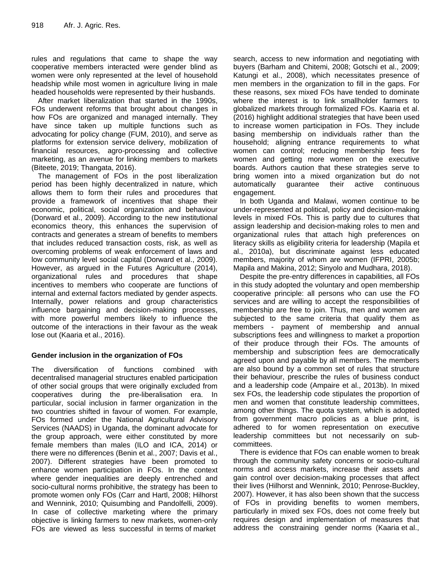rules and regulations that came to shape the way cooperative members interacted were gender blind as women were only represented at the level of household headship while most women in agriculture living in male headed households were represented by their husbands.

After market liberalization that started in the 1990s, FOs underwent reforms that brought about changes in how FOs are organized and managed internally. They have since taken up multiple functions such as advocating for policy change (FUM, 2010), and serve as platforms for extension service delivery, mobilization of financial resources, agro-processing and collective marketing, as an avenue for linking members to markets (Biteete, 2019; Thangata, 2016).

The management of FOs in the post liberalization period has been highly decentralized in nature, which allows them to form their rules and procedures that provide a framework of incentives that shape their economic, political, social organization and behaviour (Dorward et al., 2009). According to the new institutional economics theory, this enhances the supervision of contracts and generates a stream of benefits to members that includes reduced transaction costs, risk, as well as overcoming problems of weak enforcement of laws and low community level social capital (Dorward et al., 2009). However, as argued in the Futures Agriculture (2014), organizational rules and procedures that shape incentives to members who cooperate are functions of internal and external factors mediated by gender aspects. Internally, power relations and group characteristics influence bargaining and decision-making processes, with more powerful members likely to influence the outcome of the interactions in their favour as the weak lose out (Kaaria et al., 2016).

# **Gender inclusion in the organization of FOs**

The diversification of functions combined with decentralised managerial structures enabled participation of other social groups that were originally excluded from cooperatives during the pre-liberalisation era. In particular, social inclusion in farmer organization in the two countries shifted in favour of women. For example, FOs formed under the National Agricultural Advisory Services (NAADS) in Uganda, the dominant advocate for the group approach, were either constituted by more female members than males (ILO and ICA, 2014) or there were no differences (Benin et al., 2007; Davis et al., 2007). Different strategies have been promoted to enhance women participation in FOs. In the context where gender inequalities are deeply entrenched and socio-cultural norms prohibitive, the strategy has been to promote women only FOs (Carr and Hartl, 2008; Hilhorst and Wennink, 2010; Quisumbing and Pandolfelli, 2009). In case of collective marketing where the primary objective is linking farmers to new markets, women-only FOs are viewed as less successful in terms of market

search, access to new information and negotiating with buyers (Barham and Chitemi, 2008; Gotschi et al., 2009; Katungi et al., 2008), which necessitates presence of men members in the organization to fill in the gaps. For these reasons, sex mixed FOs have tended to dominate where the interest is to link smallholder farmers to globalized markets through formalized FOs. Kaaria et al. (2016) highlight additional strategies that have been used to increase women participation in FOs. They include basing membership on individuals rather than the household; aligning entrance requirements to what women can control; reducing membership fees for women and getting more women on the executive boards. Authors caution that these strategies serve to bring women into a mixed organization but do not automatically guarantee their active continuous engagement.

In both Uganda and Malawi, women continue to be under-represented at political, policy and decision-making levels in mixed FOs. This is partly due to cultures that assign leadership and decision-making roles to men and organizational rules that attach high preferences on literacy skills as eligibility criteria for leadership (Mapila et al., 2010a), but discriminate against less educated members, majority of whom are women (IFPRI, 2005b; Mapila and Makina, 2012; Sinyolo and Mudhara, 2018).

Despite the pre-entry differences in capabilities, all FOs in this study adopted the voluntary and open membership cooperative principle: all persons who can use the FO services and are willing to accept the responsibilities of membership are free to join. Thus, men and women are subjected to the same criteria that qualify them as members - payment of membership and annual subscriptions fees and willingness to market a proportion of their produce through their FOs. The amounts of membership and subscription fees are democratically agreed upon and payable by all members. The members are also bound by a common set of rules that structure their behaviour, prescribe the rules of business conduct and a leadership code (Ampaire et al., 2013b). In mixed sex FOs, the leadership code stipulates the proportion of men and women that constitute leadership committees, among other things. The quota system, which is adopted from government macro policies as a blue print, is adhered to for women representation on executive leadership committees but not necessarily on subcommittees.

There is evidence that FOs can enable women to break through the community safety concerns or socio-cultural norms and access markets, increase their assets and gain control over decision-making processes that affect their lives (Hilhorst and Wennink, 2010; Penrose-Buckley, 2007). However, it has also been shown that the success of FOs in providing benefits to women members, particularly in mixed sex FOs, does not come freely but requires design and implementation of measures that address the constraining gender norms (Kaaria et al.,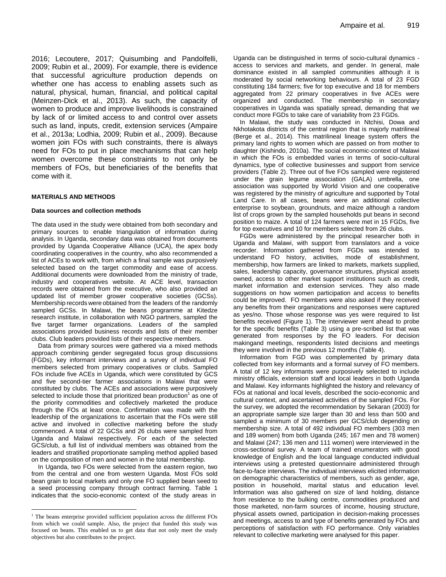2016; Lecoutere, 2017; Quisumbing and Pandolfelli, 2009; Rubin et al., 2009). For example, there is evidence that successful agriculture production depends on whether one has access to enabling assets such as natural, physical, human, financial, and political capital (Meinzen-Dick et al., 2013). As such, the capacity of women to produce and improve livelihoods is constrained by lack of or limited access to and control over assets such as land, inputs, credit, extension services (Ampaire et al., 2013a; Lodhia, 2009; Rubin et al., 2009). Because women join FOs with such constraints, there is always need for FOs to put in place mechanisms that can help women overcome these constraints to not only be members of FOs, but beneficiaries of the benefits that come with it.

#### **MATERIALS AND METHODS**

#### **Data sources and collection methods**

The data used in the study were obtained from both secondary and primary sources to enable triangulation of information during analysis. In Uganda, secondary data was obtained from documents provided by Uganda Cooperative Alliance (UCA), the apex body coordinating cooperatives in the country, who also recommended a list of ACEs to work with, from which a final sample was purposively selected based on the target commodity and ease of access. Additional documents were downloaded from the ministry of trade, industry and cooperatives website. At ACE level, transaction records were obtained from the executive, who also provided an updated list of member grower cooperative societies (GCSs). Membership records were obtained from the leaders of the randomly sampled GCSs. In Malawi, the beans programme at Kitedze research institute, in collaboration with NGO partners, sampled the five target farmer organizations. Leaders of the sampled associations provided business records and lists of their member clubs. Club leaders provided lists of their respective members.

Data from primary sources were gathered via a mixed methods approach combining gender segregated focus group discussions (FGDs), key informant interviews and a survey of individual FO members selected from primary cooperatives or clubs. Sampled FOs include five ACEs in Uganda, which were constituted by GCS and five second-tier farmer associations in Malawi that were constituted by clubs. The ACEs and associations were purposively selected to include those that prioritized bean production<sup>1</sup> as one of the priority commodities and collectively marketed the produce through the FOs at least once. Confirmation was made with the leadership of the organizations to ascertain that the FOs were still active and involved in collective marketing before the study commenced. A total of 22 GCSs and 26 clubs were sampled from Uganda and Malawi respectively. For each of the selected GCS/club, a full list of individual members was obtained from the leaders and stratified proportionate sampling method applied based on the composition of men and women in the total membership.

In Uganda, two FOs were selected from the eastern region, two from the central and one from western Uganda. Most FOs sold bean grain to local markets and only one FO supplied bean seed to a seed processing company through contract farming. Table 1 indicates that the socio-economic context of the study areas in

 $\overline{a}$ 

Uganda can be distinguished in terms of socio-cultural dynamics access to services and markets, and gender. In general, male dominance existed in all sampled communities although it is moderated by social networking behaviours. A total of 23 FGD constituting 184 farmers; five for top executive and 18 for members aggregated from 22 primary cooperatives in five ACEs were organized and conducted. The membership in secondary cooperatives in Uganda was spatially spread, demanding that we conduct more FGDs to take care of variability from 23 FGDs.

In Malawi, the study was conducted in Ntchisi, Dowa and Nkhotakota districts of the central region that is majorly matrilineal (Berge et al., 2014). This matrilineal lineage system offers the primary land rights to women which are passed on from mother to daughter (Kishindo, 2010a). The social economic-context of Malawi in which the FOs is embedded varies in terms of socio-cultural dynamics, type of collective businesses and support from service providers (Table 2). Three out of five FOs sampled were registered under the grain legume association (GALA) umbrella, one association was supported by World Vision and one cooperative was registered by the ministry of agriculture and supported by Total Land Care. In all cases, beans were an additional collective enterprise to soybean, groundnuts, and maize although a random list of crops grown by the sampled households put beans in second position to maize. A total of 124 farmers were met in 15 FGDs, five for top executives and 10 for members selected from 26 clubs.

FGDs were administered by the principal researcher both in Uganda and Malawi, with support from translators and a voice recorder. Information gathered from FGDs was intended to understand FO history, activities, mode of establishment, membership, how farmers are linked to markets, markets supplied, sales, leadership capacity, governance structures, physical assets owned, access to other market support institutions such as credit, market information and extension services. They also made suggestions on how women participation and access to benefits could be improved. FO members were also asked if they received any benefits from their organizations and responses were captured as yes/no. Those whose response was yes were required to list benefits received (Figure 1). The interviewer went ahead to probe for the specific benefits (Table 3) using a pre-scribed list that was generated from responses by the FO leaders. For decision makingand meetings, respondents listed decisions and meetings they were involved in the previous 12 months (Table 4).

Information from FGD was complemented by primary data collected from key informants and a formal survey of FO members. A total of 12 key informants were purposively selected to include ministry officials, extension staff and local leaders in both Uganda and Malawi. Key informants highlighted the history and relevancy of FOs at national and local levels, described the socio-economic and cultural context, and ascertained activities of the sampled FOs. For the survey, we adopted the recommendation by Sekaran (2003) for an appropriate sample size larger than 30 and less than 500 and sampled a minimum of 30 members per GCS/club depending on membership size. A total of 492 individual FO members (303 men and 189 women) from both Uganda (245; 167 men and 78 women) and Malawi (247; 136 men and 111 women) were interviewed in the cross-sectional survey. A team of trained enumerators with good knowledge of English and the local language conducted individual interviews using a pretested questionnaire administered through face-to-face interviews. The individual interviews elicited information on demographic characteristics of members, such as gender, age, position in household, marital status and education level. Information was also gathered on size of land holding, distance from residence to the bulking centre, commodities produced and those marketed, non-farm sources of income, housing structure, physical assets owned, participation in decision-making processes and meetings, access to and type of benefits generated by FOs and perceptions of satisfaction with FO performance. Only variables relevant to collective marketing were analysed for this paper.

<sup>&</sup>lt;sup>1</sup> The beans enterprise provided sufficient population across the different FOs from which we could sample. Also, the project that funded this study was focused on beans. This enabled us to get data that not only meet the study objectives but also contributes to the project.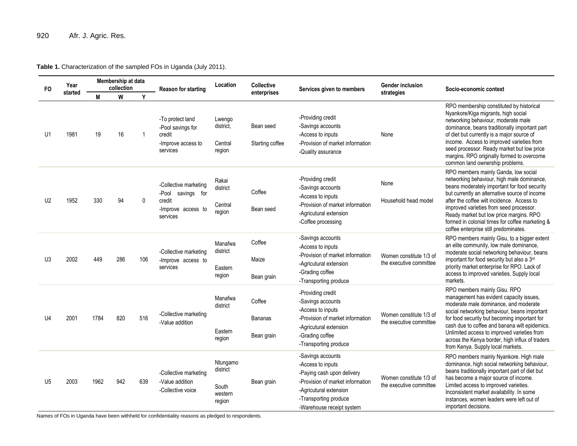# **Table 1.** Characterization of the sampled FOs in Uganda (July 2011).

| F <sub>0</sub> | Year<br>started | Membership at data<br>collection |     |                | <b>Reason for starting</b>                                                                | Location                                           | <b>Collective</b><br>enterprises       | Services given to members                                                                                                                                                                | <b>Gender inclusion</b><br>strategies              | Socio-economic context                                                                                                                                                                                                                                                                                                                                                                                              |  |
|----------------|-----------------|----------------------------------|-----|----------------|-------------------------------------------------------------------------------------------|----------------------------------------------------|----------------------------------------|------------------------------------------------------------------------------------------------------------------------------------------------------------------------------------------|----------------------------------------------------|---------------------------------------------------------------------------------------------------------------------------------------------------------------------------------------------------------------------------------------------------------------------------------------------------------------------------------------------------------------------------------------------------------------------|--|
|                |                 | M                                | W   | Y              |                                                                                           |                                                    |                                        |                                                                                                                                                                                          |                                                    |                                                                                                                                                                                                                                                                                                                                                                                                                     |  |
| U1             | 1981            | 19                               | 16  | $\overline{1}$ | -To protect land<br>-Pool savings for<br>credit<br>-Improve access to<br>services         | Lwengo<br>district.<br>Central<br>region           | Bean seed<br>Starting coffee           | -Providing credit<br>-Savings accounts<br>-Access to inputs<br>-Provision of market information<br>-Quality assurance                                                                    | None                                               | RPO membership constituted by historical<br>Nyankore/Kiga migrants, high social<br>networking behaviour, moderate male<br>dominance, beans traditionally important part<br>of diet but currently is a major source of<br>income. Access to improved varieties from<br>seed processor. Ready market but low price<br>margins. RPO originally formed to overcome<br>common land ownership problems.                   |  |
| U <sub>2</sub> | 1952            | 330                              | 94  | $\mathbf{0}$   | -Collective marketing<br>-Pool<br>savings for<br>credit<br>-Improve access to<br>services | Rakai<br>district<br>Central<br>region             | Coffee<br>Bean seed                    | -Providing credit<br>-Savings accounts<br>-Access to inputs<br>-Provision of market information<br>-Agricutural extension<br>-Coffee processing                                          | None<br>Household head model                       | RPO members mainly Ganda, low social<br>networking behaviour, high male dominance,<br>beans moderately important for food security<br>but currently an alternative source of income<br>after the coffee wilt incidence. Access to<br>improved varieties from seed processor.<br>Ready market but low price margins. RPO<br>formed in colonial times for coffee marketing &<br>coffee enterprise still predominates. |  |
| U3             | 2002            | 449                              | 286 | 106            | -Collective marketing<br>-Improve access to<br>services                                   | Manafwa<br>district<br>Eastern<br>region           | Coffee<br>Maize<br>Bean grain          | -Savings accounts<br>-Access to inputs<br>-Provision of market information<br>-Agricutural extension<br>-Grading coffee<br>-Transporting produce                                         | Women constitute 1/3 of<br>the executive committee | RPO members mainly Gisu, to a bigger extent<br>an elite community, low male dominance,<br>moderate social networking behaviour, beans<br>important for food security but also a 3rd<br>priority market enterprise for RPO. Lack of<br>access to improved varieties. Supply local<br>markets.                                                                                                                        |  |
| U <sub>4</sub> | 2001            | 1784                             | 820 | 516            | -Collective marketing<br>-Value addition                                                  | Manafwa<br>district<br>Eastern<br>region           | Coffee<br><b>Bananas</b><br>Bean grain | -Providing credit<br>-Savings accounts<br>-Access to inputs<br>-Provision of market information<br>-Agricutural extension<br>-Grading coffee<br>-Transporting produce                    | Women constitute 1/3 of<br>the executive committee | RPO members mainly Gisu. RPO<br>management has evident capacity issues,<br>moderate male dominance, and moderate<br>social networking behaviour, beans important<br>for food security but becoming important for<br>cash due to coffee and banana wilt epidemics.<br>Unlimited access to improved varieties from<br>across the Kenya border, high influx of traders<br>from Kenya. Supply local markets.            |  |
| U <sub>5</sub> | 2003            | 1962                             | 942 | 639            | -Collective marketing<br>-Value addition<br>-Collective voice                             | Ntungamo<br>district<br>South<br>western<br>region | Bean grain                             | -Savings accounts<br>-Access to inputs<br>-Paying cash upon delivery<br>-Provision of market information<br>-Agricutural extension<br>-Transporting produce<br>-Warehouse receipt system | Women constitute 1/3 of<br>the executive committee | RPO members mainly Nyankore. High male<br>dominance, high social networking behaviour,<br>beans traditionally important part of diet but<br>has become a major source of income.<br>Limited access to improved varieties.<br>Inconsistent market availability. In some<br>instances, women leaders were left out of<br>important decisions.                                                                         |  |

Names of FOs in Uganda have been withheld for confidentiality reasons as pledged to respondents.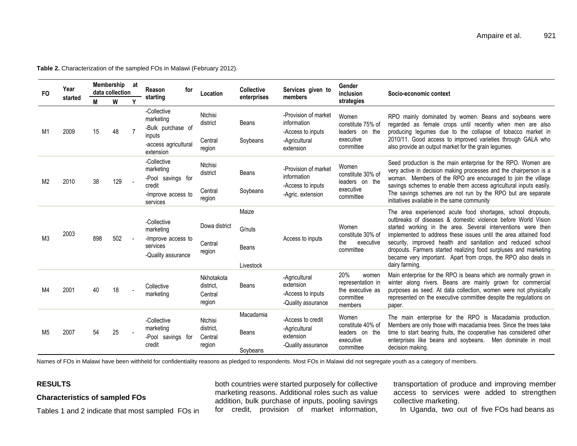| <b>FO</b>      | Year    |     | Membership at<br>data collection |             | Reason<br>for                                                                                | Location                                        | <b>Collective</b><br>enterprises             | Services given to<br>members                                                           | Gender<br>inclusion                                                           | Socio-economic context                                                                                                                                                                                                                                                                                                                                                                                                                                                                  |  |  |
|----------------|---------|-----|----------------------------------|-------------|----------------------------------------------------------------------------------------------|-------------------------------------------------|----------------------------------------------|----------------------------------------------------------------------------------------|-------------------------------------------------------------------------------|-----------------------------------------------------------------------------------------------------------------------------------------------------------------------------------------------------------------------------------------------------------------------------------------------------------------------------------------------------------------------------------------------------------------------------------------------------------------------------------------|--|--|
|                | started | M   | W                                | $\mathbf v$ | starting                                                                                     |                                                 |                                              |                                                                                        | strategies                                                                    |                                                                                                                                                                                                                                                                                                                                                                                                                                                                                         |  |  |
| M1             | 2009    | 15  | 48                               |             | -Collective<br>marketing<br>-Bulk purchase of<br>inputs<br>-access agricultural<br>extension | Ntchisi<br>district<br>Central<br>region        | Beans<br>Soybeans                            | -Provision of market<br>information<br>-Access to inputs<br>-Agricultural<br>extension | Women<br>constitute 75% of<br>leaders on the<br>executive<br>committee        | RPO mainly dominated by women. Beans and soybeans were<br>regarded as female crops until recently when men are also<br>producing legumes due to the collapse of tobacco market in<br>2010/11. Good access to improved varieties through GALA who<br>also provide an output market for the grain legumes.                                                                                                                                                                                |  |  |
| M <sub>2</sub> | 2010    | 38  | 129                              |             | -Collective<br>marketing<br>-Pool savings for<br>credit<br>-Improve access to<br>services    | <b>Ntchisi</b><br>district<br>Central<br>region | Beans<br>Soybeans                            | -Provision of market<br>information<br>-Access to inputs<br>-Agric. extension          | Women<br>constitute 30% of<br>leaders on the<br>executive<br>committee        | Seed production is the main enterprise for the RPO. Women are<br>very active in decision making processes and the chairperson is a<br>woman. Members of the RPO are encouraged to join the village<br>savings schemes to enable them access agricultural inputs easily.<br>The savings schemes are not run by the RPO but are separate<br>initiatives available in the same community                                                                                                   |  |  |
| M <sub>3</sub> | 2003    | 898 | 502                              |             | -Collective<br>marketing<br>-Improve access to<br>services<br>-Quality assurance             | Dowa district<br>Central<br>region              | Maize<br>G/nuts<br><b>Beans</b><br>Livestock | Access to inputs                                                                       | Women<br>constitute 30% of<br>the<br>executive<br>committee                   | The area experienced acute food shortages, school dropouts,<br>outbreaks of diseases & domestic violence before World Vision<br>started working in the area. Several interventions were then<br>implemented to address these issues until the area attained food<br>security, improved health and sanitation and reduced school<br>dropouts. Farmers started realizing food surpluses and marketing<br>became very important. Apart from crops, the RPO also deals in<br>dairy farming. |  |  |
| M4             | 2001    | 40  | 18                               |             | Collective<br>marketing                                                                      | Nkhotakota<br>district.<br>Central<br>region    | <b>Beans</b>                                 | -Agricultural<br>extension<br>-Access to inputs<br>-Quality assurance                  | 20%<br>women<br>representation in<br>the executive as<br>committee<br>members | Main enterprise for the RPO is beans which are normally grown in<br>winter along rivers. Beans are mainly grown for commercial<br>purposes as seed. At data collection, women were not physically<br>represented on the executive committee despite the regulations on<br>paper.                                                                                                                                                                                                        |  |  |
| M5             | 2007    | 54  | 25                               |             | -Collective<br>marketing<br>-Pool savings for<br>credit                                      | Ntchisi<br>district.<br>Central<br>region       | Macadamia<br>Beans<br>Soybeans               | -Access to credit<br>-Agricultural<br>extension<br>-Quality assurance                  | Women<br>constitute 40% of<br>leaders on the<br>executive<br>committee        | The main enterprise for the RPO is Macadamia production.<br>Members are only those with macadamia trees. Since the trees take<br>time to start bearing fruits, the cooperative has considered other<br>enterprises like beans and soybeans.<br>Men dominate in most<br>decision making.                                                                                                                                                                                                 |  |  |

**Table 2.** Characterization of the sampled FOs in Malawi (February 2012).

Names of FOs in Malawi have been withheld for confidentiality reasons as pledged to respondents. Most FOs in Malawi did not segregate youth as a category of members.

## **RESULTS**

#### **Characteristics of sampled FOs**

Tables 1 and 2 indicate that most sampled FOs in

both countries were started purposely for collective marketing reasons. Additional roles such as value addition, bulk purchase of inputs, pooling savings for credit, provision of market information, transportation of produce and improving member access to services were added to strengthen collective marketing.

In Uganda, two out of five FOs had beans as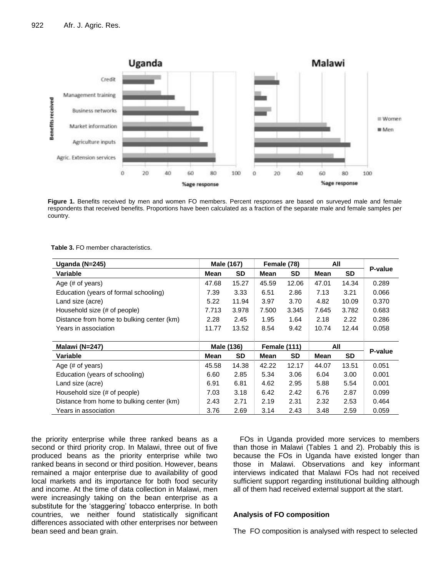

**Figure 1.** Benefits received by men and women FO members. Percent responses are based on surveyed male and female respondents that received benefits. Proportions have been calculated as a fraction of the separate male and female samples per country.

| Uganda (N=245)                            |       | Male (167) |                     | Female (78) | All   |           |         |
|-------------------------------------------|-------|------------|---------------------|-------------|-------|-----------|---------|
| <b>Variable</b><br>Mean                   |       | <b>SD</b>  | Mean                | <b>SD</b>   | Mean  | <b>SD</b> | P-value |
| Age (# of years)                          | 47.68 | 15.27      | 45.59               | 12.06       | 47.01 | 14.34     | 0.289   |
| Education (years of formal schooling)     | 7.39  | 3.33       | 6.51                | 2.86        | 7.13  | 3.21      | 0.066   |
| Land size (acre)                          | 5.22  | 11.94      | 3.97                | 3.70        | 4.82  | 10.09     | 0.370   |
| Household size (# of people)              | 7.713 | 3.978      | 7.500               | 3.345       | 7.645 | 3.782     | 0.683   |
| Distance from home to bulking center (km) | 2.28  | 2.45       | 1.95                | 1.64        | 2.18  | 2.22      | 0.286   |
| Years in association                      | 11.77 | 13.52      | 8.54                | 9.42        | 10.74 | 12.44     | 0.058   |
|                                           |       |            |                     |             |       |           |         |
| Malawi (N=247)                            |       | Male (136) | <b>Female (111)</b> |             |       | All       |         |
| <b>Variable</b>                           | Mean  | <b>SD</b>  | Mean                | <b>SD</b>   | Mean  | <b>SD</b> | P-value |
| Age $(\#$ of years)                       | 45.58 | 14.38      | 42.22               | 12.17       | 44.07 | 13.51     | 0.051   |
| Education (years of schooling)            | 6.60  | 2.85       | 5.34                | 3.06        | 6.04  | 3.00      | 0.001   |
| Land size (acre)                          | 6.91  | 6.81       | 4.62                | 2.95        | 5.88  | 5.54      | 0.001   |
|                                           |       |            |                     |             |       |           |         |
| Household size (# of people)              | 7.03  | 3.18       | 6.42                | 2.42        | 6.76  | 2.87      | 0.099   |
| Distance from home to bulking center (km) | 2.43  | 2.71       | 2.19                | 2.31        | 2.32  | 2.53      | 0.464   |

**Table 3.** FO member characteristics.

the priority enterprise while three ranked beans as a second or third priority crop. In Malawi, three out of five produced beans as the priority enterprise while two ranked beans in second or third position. However, beans remained a major enterprise due to availability of good local markets and its importance for both food security and income. At the time of data collection in Malawi, men were increasingly taking on the bean enterprise as a substitute for the 'staggering' tobacco enterprise. In both countries, we neither found statistically significant differences associated with other enterprises nor between bean seed and bean grain.

FOs in Uganda provided more services to members than those in Malawi (Tables 1 and 2). Probably this is because the FOs in Uganda have existed longer than those in Malawi. Observations and key informant interviews indicated that Malawi FOs had not received sufficient support regarding institutional building although all of them had received external support at the start.

#### **Analysis of FO composition**

The FO composition is analysed with respect to selected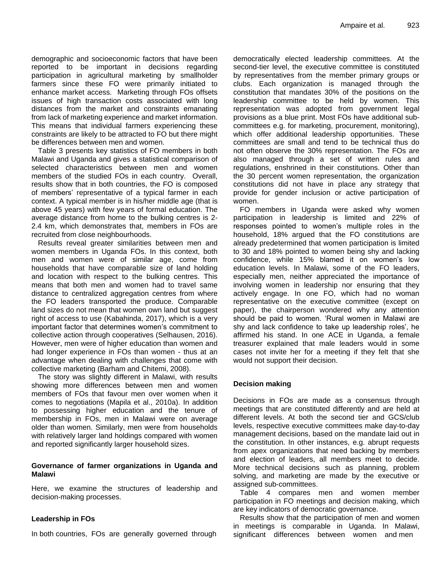demographic and socioeconomic factors that have been reported to be important in decisions regarding participation in agricultural marketing by smallholder farmers since these FO were primarily initiated to enhance market access. Marketing through FOs offsets issues of high transaction costs associated with long distances from the market and constraints emanating from lack of marketing experience and market information. This means that individual farmers experiencing these constraints are likely to be attracted to FO but there might be differences between men and women.

Table 3 presents key statistics of FO members in both Malawi and Uganda and gives a statistical comparison of selected characteristics between men and women members of the studied FOs in each country. Overall, results show that in both countries, the FO is composed of members' representative of a typical farmer in each context. A typical member is in his/her middle age (that is above 45 years) with few years of formal education. The average distance from home to the bulking centres is 2- 2.4 km, which demonstrates that, members in FOs are recruited from close neighbourhoods.

Results reveal greater similarities between men and women members in Uganda FOs. In this context, both men and women were of similar age, come from households that have comparable size of land holding and location with respect to the bulking centres. This means that both men and women had to travel same distance to centralized aggregation centres from where the FO leaders transported the produce. Comparable land sizes do not mean that women own land but suggest right of access to use (Kabahinda, 2017), which is a very important factor that determines women's commitment to collective action through cooperatives (Selhausen, 2016). However, men were of higher education than women and had longer experience in FOs than women - thus at an advantage when dealing with challenges that come with collective marketing (Barham and Chitemi, 2008).

The story was slightly different in Malawi, with results showing more differences between men and women members of FOs that favour men over women when it comes to negotiations (Mapila et al., 2010a). In addition to possessing higher education and the tenure of membership in FOs, men in Malawi were on average older than women. Similarly, men were from households with relatively larger land holdings compared with women and reported significantly larger household sizes.

#### **Governance of farmer organizations in Uganda and Malawi**

Here, we examine the structures of leadership and decision-making processes.

# **Leadership in FOs**

In both countries, FOs are generally governed through

democratically elected leadership committees. At the second-tier level, the executive committee is constituted by representatives from the member primary groups or clubs. Each organization is managed through the constitution that mandates 30% of the positions on the leadership committee to be held by women. This representation was adopted from government legal provisions as a blue print. Most FOs have additional subcommittees e.g. for marketing, procurement, monitoring), which offer additional leadership opportunities. These committees are small and tend to be technical thus do not often observe the 30% representation. The FOs are also managed through a set of written rules and regulations, enshrined in their constitutions. Other than the 30 percent women representation, the organization constitutions did not have in place any strategy that provide for gender inclusion or active participation of women.

FO members in Uganda were asked why women participation in leadership is limited and 22% of responses pointed to women's multiple roles in the household, 18% argued that the FO constitutions are already predetermined that women participation is limited to 30 and 18% pointed to women being shy and lacking confidence, while 15% blamed it on women's low education levels. In Malawi, some of the FO leaders, especially men, neither appreciated the importance of involving women in leadership nor ensuring that they actively engage. In one FO, which had no woman representative on the executive committee (except on paper), the chairperson wondered why any attention should be paid to women. 'Rural women in Malawi are shy and lack confidence to take up leadership roles', he affirmed his stand. In one ACE in Uganda, a female treasurer explained that male leaders would in some cases not invite her for a meeting if they felt that she would not support their decision.

## **Decision making**

Decisions in FOs are made as a consensus through meetings that are constituted differently and are held at different levels. At both the second tier and GCS/club levels, respective executive committees make day-to-day management decisions, based on the mandate laid out in the constitution. In other instances, e.g. abrupt requests from apex organizations that need backing by members and election of leaders, all members meet to decide. More technical decisions such as planning, problem solving, and marketing are made by the executive or assigned sub-committees.

Table 4 compares men and women member participation in FO meetings and decision making, which are key indicators of democratic governance.

Results show that the participation of men and women in meetings is comparable in Uganda. In Malawi, significant differences between women and men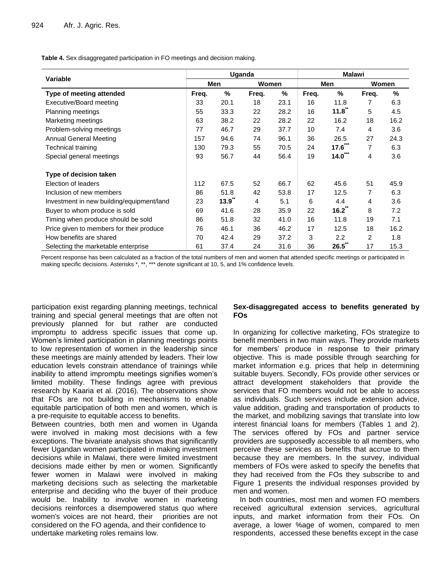**Table 4.** Sex disaggregated participation in FO meetings and decision making.

|                                           |       |               | Uganda |               | <b>Malawi</b> |                  |       |      |  |
|-------------------------------------------|-------|---------------|--------|---------------|---------------|------------------|-------|------|--|
| Variable                                  |       | Men           | Women  |               | Men           |                  | Women |      |  |
| Type of meeting attended                  | Freq. | $\frac{9}{6}$ | Freq.  | $\frac{9}{6}$ | Freq.         | $\frac{9}{6}$    | Freq. | %    |  |
| Executive/Board meeting                   | 33    | 20.1          | 18     | 23.1          | 16            | 11.8             | 7     | 6.3  |  |
| Planning meetings                         | 55    | 33.3          | 22     | 28.2          | 16            | $11.8^{\degree}$ | 5     | 4.5  |  |
| Marketing meetings                        | 63    | 38.2          | 22     | 28.2          | 22            | 16.2             | 18    | 16.2 |  |
| Problem-solving meetings                  | 77    | 46.7          | 29     | 37.7          | 10            | 7.4              | 4     | 3.6  |  |
| <b>Annual General Meeting</b>             | 157   | 94.6          | 74     | 96.1          | 36            | 26.5             | 27    | 24.3 |  |
| Technical training                        | 130   | 79.3          | 55     | 70.5          | 24            | $17.6^{\degree}$ | 7     | 6.3  |  |
| Special general meetings                  | 93    | 56.7          | 44     | 56.4          | 19            | 14.0             | 4     | 3.6  |  |
| Type of decision taken                    |       |               |        |               |               |                  |       |      |  |
| Election of leaders                       | 112   | 67.5          | 52     | 66.7          | 62            | 45.6             | 51    | 45.9 |  |
| Inclusion of new members                  | 86    | 51.8          | 42     | 53.8          | 17            | 12.5             | 7     | 6.3  |  |
| Investment in new building/equipment/land | 23    | 13.9          | 4      | 5.1           | 6             | 4.4              | 4     | 3.6  |  |
| Buyer to whom produce is sold             | 69    | 41.6          | 28     | 35.9          | 22            | $16.2^\circ$     | 8     | 7.2  |  |
| Timing when produce should be sold        | 86    | 51.8          | 32     | 41.0          | 16            | 11.8             | 19    | 7.1  |  |
| Price given to members for their produce  |       | 46.1          | 36     | 46.2          | 17            | 12.5             | 18    | 16.2 |  |
| How benefits are shared                   | 70    | 42.4          | 29     | 37.2          | 3             | $2.2\phantom{0}$ | 2     | 1.8  |  |
| Selecting the marketable enterprise       | 61    | 37.4          | 24     | 31.6          | 36            | $26.5^{\degree}$ | 17    | 15.3 |  |

Percent response has been calculated as a fraction of the total numbers of men and women that attended specific meetings or participated in making specific decisions. Asterisks \*, \*\*, \*\*\* denote significant at 10, 5, and 1% confidence levels.

participation exist regarding planning meetings, technical training and special general meetings that are often not previously planned for but rather are conducted impromptu to address specific issues that come up. Women's limited participation in planning meetings points to low representation of women in the leadership since these meetings are mainly attended by leaders. Their low education levels constrain attendance of trainings while inability to attend impromptu meetings signifies women's limited mobility. These findings agree with previous research by Kaaria et al. (2016). The observations show that FOs are not building in mechanisms to enable equitable participation of both men and women, which is a pre-requisite to equitable access to benefits.

Between countries, both men and women in Uganda were involved in making most decisions with a few exceptions. The bivariate analysis shows that significantly fewer Ugandan women participated in making investment decisions while in Malawi, there were limited investment decisions made either by men or women. Significantly fewer women in Malawi were involved in making marketing decisions such as selecting the marketable enterprise and deciding who the buyer of their produce would be. Inability to involve women in marketing decisions reinforces a disempowered status quo where women's voices are not heard, their priorities are not considered on the FO agenda, and their confidence to undertake marketing roles remains low.

## **Sex-disaggregated access to benefits generated by FOs**

In organizing for collective marketing, FOs strategize to benefit members in two main ways. They provide markets for members' produce in response to their primary objective. This is made possible through searching for market information e.g. prices that help in determining suitable buyers. Secondly, FOs provide other services or attract development stakeholders that provide the services that FO members would not be able to access as individuals. Such services include extension advice, value addition, grading and transportation of products to the market, and mobilizing savings that translate into low interest financial loans for members (Tables 1 and 2). The services offered by FOs and partner service providers are supposedly accessible to all members, who perceive these services as benefits that accrue to them because they are members. In the survey, individual members of FOs were asked to specify the benefits that they had received from the FOs they subscribe to and Figure 1 presents the individual responses provided by men and women.

In both countries, most men and women FO members received agricultural extension services, agricultural inputs, and market information from their FOs. On average, a lower %age of women, compared to men respondents, accessed these benefits except in the case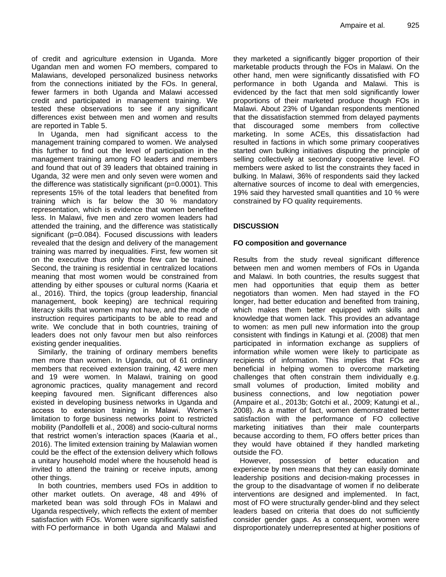of credit and agriculture extension in Uganda. More Ugandan men and women FO members, compared to Malawians, developed personalized business networks from the connections initiated by the FOs. In general, fewer farmers in both Uganda and Malawi accessed credit and participated in management training. We tested these observations to see if any significant differences exist between men and women and results are reported in Table 5.

In Uganda, men had significant access to the management training compared to women. We analysed this further to find out the level of participation in the management training among FO leaders and members and found that out of 39 leaders that obtained training in Uganda, 32 were men and only seven were women and the difference was statistically significant (p=0.0001). This represents 15% of the total leaders that benefited from training which is far below the 30 % mandatory representation, which is evidence that women benefited less. In Malawi, five men and zero women leaders had attended the training, and the difference was statistically significant (p=0.084). Focused discussions with leaders revealed that the design and delivery of the management training was marred by inequalities. First, few women sit on the executive thus only those few can be trained. Second, the training is residential in centralized locations meaning that most women would be constrained from attending by either spouses or cultural norms (Kaaria et al., 2016). Third, the topics (group leadership, financial management, book keeping) are technical requiring literacy skills that women may not have, and the mode of instruction requires participants to be able to read and write. We conclude that in both countries, training of leaders does not only favour men but also reinforces existing gender inequalities.

Similarly, the training of ordinary members benefits men more than women. In Uganda, out of 61 ordinary members that received extension training, 42 were men and 19 were women. In Malawi, training on good agronomic practices, quality management and record keeping favoured men. Significant differences also existed in developing business networks in Uganda and access to extension training in Malawi. Women's limitation to forge business networks point to restricted mobility (Pandolfelli et al., 2008) and socio-cultural norms that restrict women's interaction spaces (Kaaria et al., 2016). The limited extension training by Malawian women could be the effect of the extension delivery which follows a unitary household model where the household head is invited to attend the training or receive inputs, among other things.

In both countries, members used FOs in addition to other market outlets. On average, 48 and 49% of marketed bean was sold through FOs in Malawi and Uganda respectively, which reflects the extent of member satisfaction with FOs. Women were significantly satisfied with FO performance in both Uganda and Malawi and

they marketed a significantly bigger proportion of their marketable products through the FOs in Malawi. On the other hand, men were significantly dissatisfied with FO performance in both Uganda and Malawi. This is evidenced by the fact that men sold significantly lower proportions of their marketed produce though FOs in Malawi. About 23% of Ugandan respondents mentioned that the dissatisfaction stemmed from delayed payments that discouraged some members from collective marketing. In some ACEs, this dissatisfaction had resulted in factions in which some primary cooperatives started own bulking initiatives disputing the principle of selling collectively at secondary cooperative level. FO members were asked to list the constraints they faced in bulking. In Malawi, 36% of respondents said they lacked alternative sources of income to deal with emergencies, 19% said they harvested small quantities and 10 % were constrained by FO quality requirements.

# **DISCUSSION**

## **FO composition and governance**

Results from the study reveal significant difference between men and women members of FOs in Uganda and Malawi. In both countries, the results suggest that men had opportunities that equip them as better negotiators than women. Men had stayed in the FO longer, had better education and benefited from training, which makes them better equipped with skills and knowledge that women lack. This provides an advantage to women: as men pull new information into the group consistent with findings in Katungi et al. (2008) that men participated in information exchange as suppliers of information while women were likely to participate as recipients of information. This implies that FOs are beneficial in helping women to overcome marketing challenges that often constrain them individually e.g. small volumes of production, limited mobility and business connections, and low negotiation power (Ampaire et al., 2013b; Gotchi et al., 2009; Katungi et al., 2008). As a matter of fact, women demonstrated better satisfaction with the performance of FO collective marketing initiatives than their male counterparts because according to them, FO offers better prices than they would have obtained if they handled marketing outside the FO.

However, possession of better education and experience by men means that they can easily dominate leadership positions and decision-making processes in the group to the disadvantage of women if no deliberate interventions are designed and implemented. In fact, most of FO were structurally gender-blind and they select leaders based on criteria that does do not sufficiently consider gender gaps. As a consequent, women were disproportionately underrepresented at higher positions of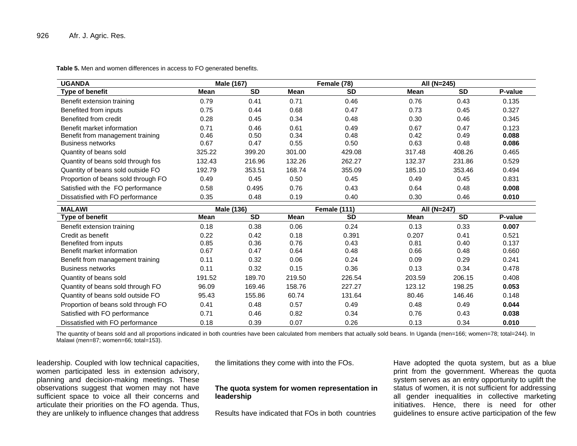**Table 5.** Men and women differences in access to FO generated benefits.

| <b>UGANDA</b>                       |        | Male (167) |        | Female (78) | All $(N=245)$ |           |         |
|-------------------------------------|--------|------------|--------|-------------|---------------|-----------|---------|
| Type of benefit                     | Mean   | <b>SD</b>  | Mean   | <b>SD</b>   | <b>Mean</b>   | <b>SD</b> | P-value |
| Benefit extension training          | 0.79   | 0.41       | 0.71   | 0.46        | 0.76          | 0.43      | 0.135   |
| Benefited from inputs               | 0.75   | 0.44       | 0.68   | 0.47        | 0.73          | 0.45      | 0.327   |
| Benefited from credit               | 0.28   | 0.45       | 0.34   | 0.48        | 0.30          | 0.46      | 0.345   |
| Benefit market information          | 0.71   | 0.46       | 0.61   | 0.49        | 0.67          | 0.47      | 0.123   |
| Benefit from management training    | 0.46   | 0.50       | 0.34   | 0.48        | 0.42          | 0.49      | 0.088   |
| <b>Business networks</b>            | 0.67   | 0.47       | 0.55   | 0.50        | 0.63          | 0.48      | 0.086   |
| Quantity of beans sold              | 325.22 | 399.20     | 301.00 | 429.08      | 317.48        | 408.26    | 0.465   |
| Quantity of beans sold through fos  | 132.43 | 216.96     | 132.26 | 262.27      | 132.37        | 231.86    | 0.529   |
| Quantity of beans sold outside FO   | 192.79 | 353.51     | 168.74 | 355.09      | 185.10        | 353.46    | 0.494   |
| Proportion of beans sold through FO | 0.49   | 0.45       | 0.50   | 0.45        | 0.49          | 0.45      | 0.831   |
| Satisfied with the FO performance   | 0.58   | 0.495      | 0.76   | 0.43        | 0.64          | 0.48      | 0.008   |
| Dissatisfied with FO performance    | 0.35   | 0.48       | 0.19   | 0.40        | 0.30          | 0.46      | 0.010   |

| <b>MALAWI</b>                       |        | Male (136) |             | Female (111) | AII (N=247) |           |         |
|-------------------------------------|--------|------------|-------------|--------------|-------------|-----------|---------|
| <b>Type of benefit</b>              | Mean   | <b>SD</b>  | <b>Mean</b> | <b>SD</b>    | <b>Mean</b> | <b>SD</b> | P-value |
| Benefit extension training          | 0.18   | 0.38       | 0.06        | 0.24         | 0.13        | 0.33      | 0.007   |
| Credit as benefit                   | 0.22   | 0.42       | 0.18        | 0.391        | 0.207       | 0.41      | 0.521   |
| Benefited from inputs               | 0.85   | 0.36       | 0.76        | 0.43         | 0.81        | 0.40      | 0.137   |
| Benefit market information          | 0.67   | 0.47       | 0.64        | 0.48         | 0.66        | 0.48      | 0.660   |
| Benefit from management training    | 0.11   | 0.32       | 0.06        | 0.24         | 0.09        | 0.29      | 0.241   |
| <b>Business networks</b>            | 0.11   | 0.32       | 0.15        | 0.36         | 0.13        | 0.34      | 0.478   |
| Quantity of beans sold              | 191.52 | 189.70     | 219.50      | 226.54       | 203.59      | 206.15    | 0.408   |
| Quantity of beans sold through FO   | 96.09  | 169.46     | 158.76      | 227.27       | 123.12      | 198.25    | 0.053   |
| Quantity of beans sold outside FO   | 95.43  | 155.86     | 60.74       | 131.64       | 80.46       | 146.46    | 0.148   |
| Proportion of beans sold through FO | 0.41   | 0.48       | 0.57        | 0.49         | 0.48        | 0.49      | 0.044   |
| Satisfied with FO performance       | 0.71   | 0.46       | 0.82        | 0.34         | 0.76        | 0.43      | 0.038   |
| Dissatisfied with FO performance    | 0.18   | 0.39       | 0.07        | 0.26         | 0.13        | 0.34      | 0.010   |

The quantity of beans sold and all proportions indicated in both countries have been calculated from members that actually sold beans. In Uganda (men=166; women=78; total=244). In Malawi (men=87; women=66; total=153).

leadership. Coupled with low technical capacities, women participated less in extension advisory, planning and decision-making meetings. These observations suggest that women may not have sufficient space to voice all their concerns and articulate their priorities on the FO agenda. Thus, they are unlikely to influence changes that address the limitations they come with into the FOs.

#### **The quota system for women representation in leadership**

Results have indicated that FOs in both countries

Have adopted the quota system, but as a blue print from the government. Whereas the quota system serves as an entry opportunity to uplift the status of women, it is not sufficient for addressing all gender inequalities in collective marketing initiatives. Hence, there is need for other guidelines to ensure active participation of the few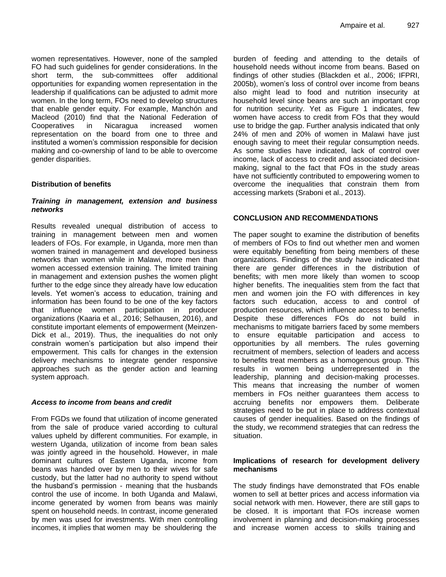women representatives. However, none of the sampled FO had such guidelines for gender considerations. In the short term, the sub-committees offer additional opportunities for expanding women representation in the leadership if qualifications can be adjusted to admit more women. In the long term, FOs need to develop structures that enable gender equity. For example, Manchón and Macleod (2010) find that the National Federation of Cooperatives in Nicaragua increased women representation on the board from one to three and instituted a women's commission responsible for decision making and co-ownership of land to be able to overcome gender disparities.

## **Distribution of benefits**

## *Training in management, extension and business networks*

Results revealed unequal distribution of access to training in management between men and women leaders of FOs. For example, in Uganda, more men than women trained in management and developed business networks than women while in Malawi, more men than women accessed extension training. The limited training in management and extension pushes the women plight further to the edge since they already have low education levels. Yet women's access to education, training and information has been found to be one of the key factors that influence women participation in producer organizations (Kaaria et al., 2016; Selhausen, 2016), and constitute important elements of empowerment (Meinzen-Dick et al., 2019). Thus, the inequalities do not only constrain women's participation but also impend their empowerment. This calls for changes in the extension delivery mechanisms to integrate gender responsive approaches such as the gender action and learning system approach.

## *Access to income from beans and credit*

From FGDs we found that utilization of income generated from the sale of produce varied according to cultural values upheld by different communities. For example, in western Uganda, utilization of income from bean sales was jointly agreed in the household. However, in male dominant cultures of Eastern Uganda, income from beans was handed over by men to their wives for safe custody, but the latter had no authority to spend without the husband's permission - meaning that the husbands control the use of income. In both Uganda and Malawi, income generated by women from beans was mainly spent on household needs. In contrast, income generated by men was used for investments. With men controlling incomes, it implies that women may be shouldering the

burden of feeding and attending to the details of household needs without income from beans. Based on findings of other studies (Blackden et al., 2006; IFPRI, 2005b), women's loss of control over income from beans also might lead to food and nutrition insecurity at household level since beans are such an important crop for nutrition security. Yet as Figure 1 indicates, few women have access to credit from FOs that they would use to bridge the gap. Further analysis indicated that only 24% of men and 20% of women in Malawi have just enough saving to meet their regular consumption needs. As some studies have indicated, lack of control over income, lack of access to credit and associated decisionmaking, signal to the fact that FOs in the study areas have not sufficiently contributed to empowering women to overcome the inequalities that constrain them from accessing markets (Sraboni et al., 2013).

#### **CONCLUSION AND RECOMMENDATIONS**

The paper sought to examine the distribution of benefits of members of FOs to find out whether men and women were equitably benefiting from being members of these organizations. Findings of the study have indicated that there are gender differences in the distribution of benefits; with men more likely than women to scoop higher benefits. The inequalities stem from the fact that men and women join the FO with differences in key factors such education, access to and control of production resources, which influence access to benefits. Despite these differences FOs do not build in mechanisms to mitigate barriers faced by some members to ensure equitable participation and access to opportunities by all members. The rules governing recruitment of members, selection of leaders and access to benefits treat members as a homogenous group. This results in women being underrepresented in the leadership, planning and decision-making processes. This means that increasing the number of women members in FOs neither guarantees them access to accruing benefits nor empowers them. Deliberate strategies need to be put in place to address contextual causes of gender inequalities. Based on the findings of the study, we recommend strategies that can redress the situation.

#### **Implications of research for development delivery mechanisms**

The study findings have demonstrated that FOs enable women to sell at better prices and access information via social network with men. However, there are still gaps to be closed. It is important that FOs increase women involvement in planning and decision-making processes and increase women access to skills training and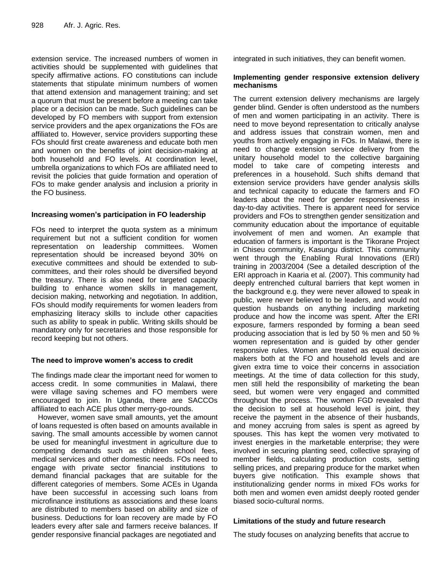extension service. The increased numbers of women in activities should be supplemented with guidelines that specify affirmative actions. FO constitutions can include statements that stipulate minimum numbers of women that attend extension and management training; and set a quorum that must be present before a meeting can take place or a decision can be made. Such guidelines can be developed by FO members with support from extension service providers and the apex organizations the FOs are affiliated to. However, service providers supporting these FOs should first create awareness and educate both men and women on the benefits of joint decision-making at both household and FO levels. At coordination level, umbrella organizations to which FOs are affiliated need to revisit the policies that guide formation and operation of FOs to make gender analysis and inclusion a priority in the FO business.

# **Increasing women's participation in FO leadership**

FOs need to interpret the quota system as a minimum requirement but not a sufficient condition for women representation on leadership committees. Women representation should be increased beyond 30% on executive committees and should be extended to subcommittees, and their roles should be diversified beyond the treasury. There is also need for targeted capacity building to enhance women skills in management, decision making, networking and negotiation. In addition, FOs should modify requirements for women leaders from emphasizing literacy skills to include other capacities such as ability to speak in public. Writing skills should be mandatory only for secretaries and those responsible for record keeping but not others.

## **The need to improve women's access to credit**

The findings made clear the important need for women to access credit. In some communities in Malawi, there were village saving schemes and FO members were encouraged to join. In Uganda, there are SACCOs affiliated to each ACE plus other merry-go-rounds.

However, women save small amounts, yet the amount of loans requested is often based on amounts available in saving. The small amounts accessible by women cannot be used for meaningful investment in agriculture due to competing demands such as children school fees, medical services and other domestic needs. FOs need to engage with private sector financial institutions to demand financial packages that are suitable for the different categories of members. Some ACEs in Uganda have been successful in accessing such loans from microfinance institutions as associations and these loans are distributed to members based on ability and size of business. Deductions for loan recovery are made by FO leaders every after sale and farmers receive balances. If gender responsive financial packages are negotiated and

integrated in such initiatives, they can benefit women.

#### **Implementing gender responsive extension delivery mechanisms**

The current extension delivery mechanisms are largely gender blind. Gender is often understood as the numbers of men and women participating in an activity. There is need to move beyond representation to critically analyse and address issues that constrain women, men and youths from actively engaging in FOs. In Malawi, there is need to change extension service delivery from the unitary household model to the collective bargaining model to take care of competing interests and preferences in a household. Such shifts demand that extension service providers have gender analysis skills and technical capacity to educate the farmers and FO leaders about the need for gender responsiveness in day-to-day activities. There is apparent need for service providers and FOs to strengthen gender sensitization and community education about the importance of equitable involvement of men and women. An example that education of farmers is important is the Tikorane Project in Chiseu community, Kasungu district. This community went through the Enabling Rural Innovations (ERI) training in 2003/2004 (See a detailed description of the ERI approach in Kaaria et al. (2007). This community had deeply entrenched cultural barriers that kept women in the background e.g. they were never allowed to speak in public, were never believed to be leaders, and would not question husbands on anything including marketing produce and how the income was spent. After the ERI exposure, farmers responded by forming a bean seed producing association that is led by 50 % men and 50 % women representation and is guided by other gender responsive rules. Women are treated as equal decision makers both at the FO and household levels and are given extra time to voice their concerns in association meetings. At the time of data collection for this study, men still held the responsibility of marketing the bean seed, but women were very engaged and committed throughout the process. The women FGD revealed that the decision to sell at household level is joint, they receive the payment in the absence of their husbands, and money accruing from sales is spent as agreed by spouses. This has kept the women very motivated to invest energies in the marketable enterprise; they were involved in securing planting seed, collective spraying of member fields, calculating production costs, setting selling prices, and preparing produce for the market when buyers give notification. This example shows that institutionalizing gender norms in mixed FOs works for both men and women even amidst deeply rooted gender biased socio-cultural norms.

# **Limitations of the study and future research**

The study focuses on analyzing benefits that accrue to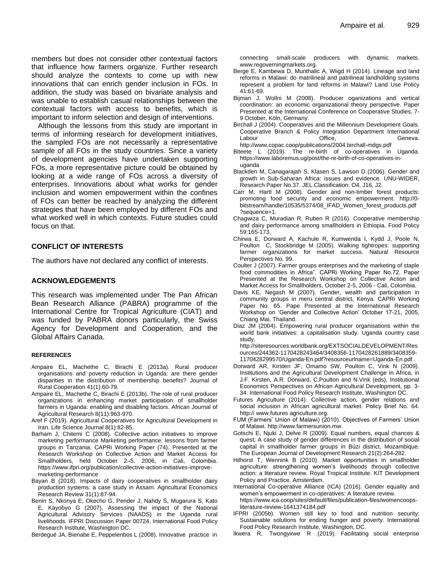members but does not consider other contextual factors that influence how farmers organize. Further research should analyze the contexts to come up with new innovations that can enrich gender inclusion in FOs. In addition, the study was based on bivariate analysis and was unable to establish casual relationships between the contextual factors with access to benefits, which is important to inform selection and design of interventions.

Although the lessons from this study are important in terms of informing research for development initiatives, the sampled FOs are not necessarily a representative sample of all FOs in the study countries. Since a variety of development agencies have undertaken supporting FOs, a more representative picture could be obtained by looking at a wide range of FOs across a diversity of enterprises. Innovations about what works for gender inclusion and women empowerment within the confines of FOs can better be reached by analyzing the different strategies that have been employed by different FOs and what worked well in which contexts. Future studies could focus on that.

#### **CONFLICT OF INTERESTS**

The authors have not declared any conflict of interests.

#### **ACKNOWLEDGEMENTS**

This research was implemented under The Pan African Bean Research Alliance (PABRA) programme of the International Centre for Tropical Agriculture (CIAT) and was funded by PABRA donors particularly, the Swiss Agency for Development and Cooperation, and the Global Affairs Canada.

#### **REFERENCES**

- Ampaire EL, Machethe C, Birachi E (2013a). Rural producer organisations and poverty reduction in Uganda: are there gender disparities in the distribution of membership benefits? Journal of Rural Cooperation 41(1):60-79.
- Ampaire EL, Machethe C, Birachi E (2013b). The role of rural producer organizations in enhancing market participation of smallholder farmers in Uganda: enabling and disabling factors. African Journal of Agricultural Research 8(11):963-970.
- Aref F (2019). Agricultural Cooperatives for Agricultural Development in Iran. Life Science Journal 8(1):82-85.
- Barham J, Chitemi C (2008). Collective action initiatives to improve marketing performance Marketing performance: lessons from farmer groups in Tanzania. CAPRi Working Paper (74). Presented at the Research Workshop on Collective Action and Market Access for Smallholders, held October 2–5, 2006, in Cali, Colombia. https://www.ifpri.org/publication/collective-action-initiatives-improvemarketing-performance
- Bayan B (2018). Impacts of dairy cooperatives in smallholder dairy production systems: a case study in Assam. Agricultural Economics Research Review 31(1):87-94.
- Benin S, Nkonya E, Okecho G, Pender J, Nahdy S, Mugarura S, Kato E, Kayobyo G (2007). Assessing the impact of the National Agricultural Advisory Services (NAADS) in the Uganda rural livelihoods. IFPRI Discussion Paper 00724, International Food Policy Research Institute, Washington DC.

Berdegué JA, Bienabe E, Peppelenbos L (2008). Innovative practice in

connecting small-scale producers with dynamic markets. www.regoverningmarkets.org.

- Berge E, Kambewa D, Munthalic A, Wiigd H (2014). Lineage and land reforms in Malawi: do matrilineal and patrilineal landholding systems represent a problem for land reforms in Malawi? Land Use Policy 41:61-69.
- Bijman J, Wollni M (2008). Producer oganizations and vertical coordination: an economic organizational theory perspective. Paper Presented at the International Conference on Cooperative Studies, 7- 9 October, Köln, Germany.
- Birchall J (2004). Cooperatives and the Millennium Development Goals. Cooperative Branch & Policy Integration Department International Labour **Contract Contract Contract Contract Contract Contract Contract Contract Contract Contract Contract Contr** http://www.copac.coop/publications/2004.birchall-mdgs.pdf
- Biteete L (2019). The re-birth of co-operatives in Uganda. https://www.laboremus.ug/post/the-re-birth-of-co-operatives-inuganda
- Blackden M, Canagarajah S, Klasen S, Lawson D (2006). Gender and growth in Sub-Saharan Africa: issues and evidence. UNU-WIDER, Research Paper No.37. JEL Classification: O4, J16, J2.
- Carr M, Hartl M (2008). Gender and non-timber forest products: promoting food security and economic empowerment. http://0 bitstream/handle/10535/5374/08\_IFAD\_Women\_forest\_products.pdf ?sequence=1.
- Chagwiza C, Muradian R, Ruben R (2016). Cooperative membership and dairy performance among smallholders in Ethiopia. Food Policy 59:165-173.
- Chirwa E, Dorward A, Kachule R, Kumwenda I, Kydd J, Poole N, Poulton C, Stockbridge M (2005). Walking tightropes: supporting farmer organizations for market success. Natural Resource Perspectives No*.* 99.
- Coulter J (2007). Farmer groups enterprises and the marketing of staple food commodities in Africa". CAPRi Working Paper No.72. Paper Presented at the Research Workshop on Collective Action and Market Access for Smallholders, October 2-5, 2006 - Cali, Colombia.
- Davis KE, Negash M (2007). Gender, wealth and participation in community groups in meru central district, Kenya. CAPRi Working Paper No. 65. Pape Presented at the International Research Workshop on 'Gender and Collective Action' October 17-21, 2005, Chiang Mai, Thailand.
- Diaz JM (2004). Empowering rural producer organisations within the world bank initiatives: a capitalisation study. Uganda country case study.

http://siteresources.worldbank.org/EXTSOCIALDEVELOPMENT/Res ources/244362-1170428243464/3408356-1170428261889/3408359- 1170428299570/Uganda-En.pdf?resourceurlname=Uganda-En.pdf..

- Dorward AR, Kirsten JF, Omamo SW, Poulton C, Vink N (2009). Institutions and the Agricultural Development Challenge in Africa, in J.F. Kirsten, A.R. Dorward, C.Poulton and N.Vink (eds), Institutional Economics Perspectives on African Agricultural Development, pp. 3- 34. International Food Policy Research Institute, Washington DC.
- Futures Agriculture (2014). Collective action, gender relations and social inclusion in African agricultural market. Policy Brief No. 64. http:// www.futures agriculture.org.
- FUM (Farmers' Union of Malawi) (2010). Objectives of Farmers' Union of Malawi. http://www.farmersunion.mw.
- Gotschi E, Njuki J, Delve R (2009). Equal numbers, equal chances & quest; A case study of gender differences in the distribution of social capital in smallholder farmer groups in Búzi district, Mozambique. The European Journal of Development Research 21(2):264-282.
- Hilhorst T, Wennink B (2010). Market opportunities in smallholder agriculture: strengthening women's livelihoods through collective action: a literature review. Royal Tropical Institute. KIT Development Policy and Practice. Amsterdam.

International Co-operative Alliance (ICA) (2016). Gender equality and women's empowerment in co-operatives: A literature review. https://www.ica.coop/sites/default/files/publication-files/womencoopsliterature-review-1641374184.pdf

- IFPRI (2005b). Women still key to food and nutrition security: Sustainable solutions for ending hunger and poverty. International Food Policy Research Institute, Washington, DC.
- Ikwera R, Twongyirwe R (2019). Facilitating social enterprise